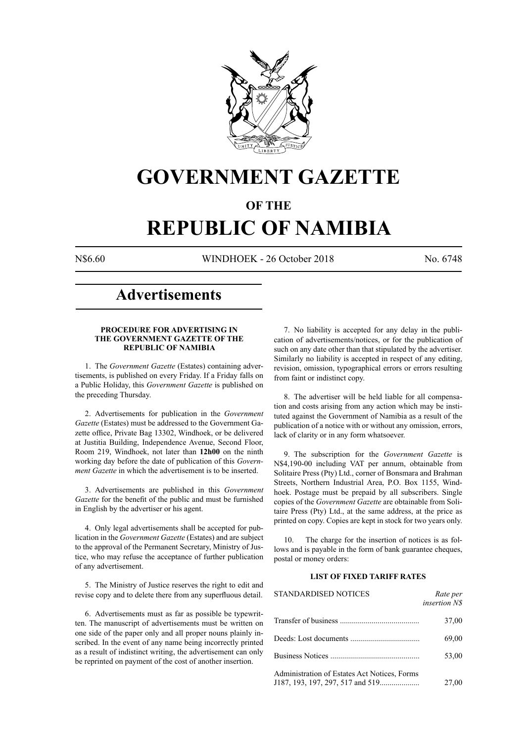

## **GOVERNMENT GAZETTE**

### **OF THE**

# **REPUBLIC OF NAMIBIA**

N\$6.60 WINDHOEK - 26 October 2018 No. 6748

## **Advertisements**

#### **PROCEDURE FOR ADVERTISING IN THE GOVERNMENT GAZETTE OF THE REPUBLIC OF NAMIBIA**

1. The *Government Gazette* (Estates) containing advertisements, is published on every Friday. If a Friday falls on a Public Holiday, this *Government Gazette* is published on the preceding Thursday.

2. Advertisements for publication in the *Government Gazette* (Estates) must be addressed to the Government Gazette office, Private Bag 13302, Windhoek, or be delivered at Justitia Building, Independence Avenue, Second Floor, Room 219, Windhoek, not later than **12h00** on the ninth working day before the date of publication of this *Government Gazette* in which the advertisement is to be inserted.

3. Advertisements are published in this *Government Gazette* for the benefit of the public and must be furnished in English by the advertiser or his agent.

4. Only legal advertisements shall be accepted for publication in the *Government Gazette* (Estates) and are subject to the approval of the Permanent Secretary, Ministry of Justice, who may refuse the acceptance of further publication of any advertisement.

5. The Ministry of Justice reserves the right to edit and revise copy and to delete there from any superfluous detail.

6. Advertisements must as far as possible be typewritten. The manuscript of advertisements must be written on one side of the paper only and all proper nouns plainly inscribed. In the event of any name being incorrectly printed as a result of indistinct writing, the advertisement can only be reprinted on payment of the cost of another insertion.

7. No liability is accepted for any delay in the publication of advertisements/notices, or for the publication of such on any date other than that stipulated by the advertiser. Similarly no liability is accepted in respect of any editing, revision, omission, typographical errors or errors resulting from faint or indistinct copy.

8. The advertiser will be held liable for all compensation and costs arising from any action which may be instituted against the Government of Namibia as a result of the publication of a notice with or without any omission, errors, lack of clarity or in any form whatsoever.

9. The subscription for the *Government Gazette* is N\$4,190-00 including VAT per annum, obtainable from Solitaire Press (Pty) Ltd., corner of Bonsmara and Brahman Streets, Northern Industrial Area, P.O. Box 1155, Windhoek. Postage must be prepaid by all subscribers. Single copies of the *Government Gazette* are obtainable from Solitaire Press (Pty) Ltd., at the same address, at the price as printed on copy. Copies are kept in stock for two years only.

10. The charge for the insertion of notices is as follows and is payable in the form of bank guarantee cheques, postal or money orders:

#### **LIST OF FIXED TARIFF RATES**

| <b>STANDARDISED NOTICES</b>                  | Rate per<br>insertion N\$ |
|----------------------------------------------|---------------------------|
|                                              | 37,00                     |
|                                              | 69,00                     |
|                                              | 53,00                     |
| Administration of Estates Act Notices, Forms | 27,00                     |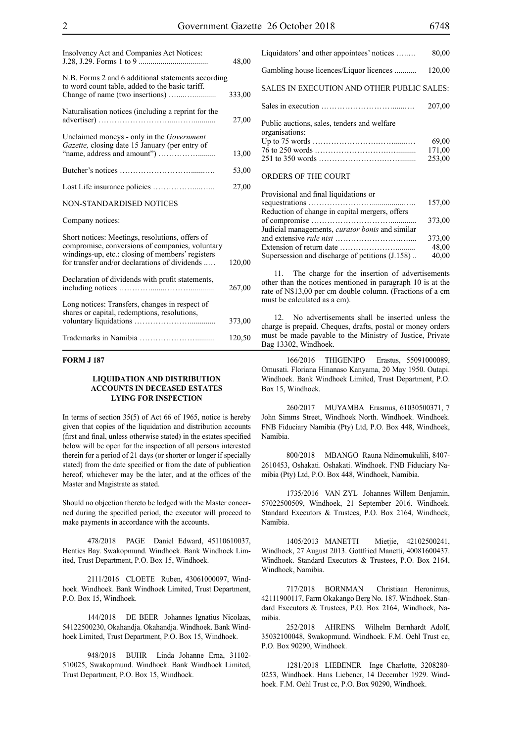| Insolvency Act and Companies Act Notices:                                                                                                                                                               | 48,00  |
|---------------------------------------------------------------------------------------------------------------------------------------------------------------------------------------------------------|--------|
| N.B. Forms 2 and 6 additional statements according<br>to word count table, added to the basic tariff.                                                                                                   | 333,00 |
| Naturalisation notices (including a reprint for the                                                                                                                                                     | 27,00  |
| Unclaimed moneys - only in the <i>Government</i><br>Gazette, closing date 15 January (per entry of                                                                                                      | 13,00  |
|                                                                                                                                                                                                         | 53,00  |
|                                                                                                                                                                                                         | 27,00  |
| NON-STANDARDISED NOTICES                                                                                                                                                                                |        |
| Company notices:                                                                                                                                                                                        |        |
| Short notices: Meetings, resolutions, offers of<br>compromise, conversions of companies, voluntary<br>windings-up, etc.: closing of members' registers<br>for transfer and/or declarations of dividends | 120,00 |
| Declaration of dividends with profit statements,                                                                                                                                                        | 267,00 |
| Long notices: Transfers, changes in respect of<br>shares or capital, redemptions, resolutions,                                                                                                          | 373,00 |
|                                                                                                                                                                                                         | 120,50 |

#### **FORM J 187**

#### **LIQUIDATION AND DISTRIBUTION ACCOUNTS IN DECEASED ESTATES LYING FOR INSPECTION**

In terms of section 35(5) of Act 66 of 1965, notice is hereby given that copies of the liquidation and distribution accounts (first and final, unless otherwise stated) in the estates specified below will be open for the inspection of all persons interested therein for a period of 21 days (or shorter or longer if specially stated) from the date specified or from the date of publication hereof, whichever may be the later, and at the offices of the Master and Magistrate as stated.

Should no objection thereto be lodged with the Master concerned during the specified period, the executor will proceed to make payments in accordance with the accounts.

478/2018 PAGE Daniel Edward, 45110610037, Henties Bay. Swakopmund. Windhoek. Bank Windhoek Limited, Trust Department, P.O. Box 15, Windhoek.

2111/2016 CLOETE Ruben, 43061000097, Windhoek. Windhoek. Bank Windhoek Limited, Trust Department, P.O. Box 15, Windhoek.

144/2018 DE BEER Johannes Ignatius Nicolaas, 54122500230, Okahandja. Okahandja. Windhoek. Bank Windhoek Limited, Trust Department, P.O. Box 15, Windhoek.

948/2018 BUHR Linda Johanne Erna, 31102- 510025, Swakopmund. Windhoek. Bank Windhoek Limited, Trust Department, P.O. Box 15, Windhoek.

Liquidators' and other appointees' notices …..… 80,00 Gambling house licences/Liquor licences ........... 120,00 SALES IN EXECUTION AND OTHER PUBLIC SALES: Sales in execution ………………………......…. 207,00 Public auctions, sales, tenders and welfare organisations: Up to 75 words …………………….…….......… 69,00 76 to 250 words ……………………….….......... 171,00 251 to 350 words …………………….……........ 253,00 ORDERS OF THE COURT

### Provisional and final liquidations or

| Provisional and final liquidations or                  |        |
|--------------------------------------------------------|--------|
|                                                        | 157,00 |
| Reduction of change in capital mergers, offers         |        |
|                                                        | 373,00 |
| Judicial managements, <i>curator bonis</i> and similar |        |
|                                                        | 373,00 |
|                                                        | 48,00  |
| Supersession and discharge of petitions (J.158)        | 40,00  |
|                                                        |        |

11. The charge for the insertion of advertisements other than the notices mentioned in paragraph 10 is at the rate of N\$13,00 per cm double column. (Fractions of a cm must be calculated as a cm).

12. No advertisements shall be inserted unless the charge is prepaid. Cheques, drafts, postal or money orders must be made payable to the Ministry of Justice, Private Bag 13302, Windhoek.

166/2016 THIGENIPO Erastus, 55091000089, Omusati. Floriana Hinanaso Kanyama, 20 May 1950. Outapi. Windhoek. Bank Windhoek Limited, Trust Department, P.O. Box 15, Windhoek.

260/2017 MUYAMBA Erasmus, 61030500371, 7 John Simms Street, Windhoek North. Windhoek. Windhoek. FNB Fiduciary Namibia (Pty) Ltd, P.O. Box 448, Windhoek, Namibia.

800/2018 MBANGO Rauna Ndinomukulili, 8407- 2610453, Oshakati. Oshakati. Windhoek. FNB Fiduciary Namibia (Pty) Ltd, P.O. Box 448, Windhoek, Namibia.

1735/2016 VAN ZYL Johannes Willem Benjamin, 57022500509, Windhoek, 21 September 2016. Windhoek. Standard Executors & Trustees, P.O. Box 2164, Windhoek, Namibia.

1405/2013 MANETTI Mietjie, 42102500241, Windhoek, 27 August 2013. Gottfried Manetti, 40081600437. Windhoek. Standard Executors & Trustees, P.O. Box 2164, Windhoek, Namibia.

717/2018 BORNMAN Christiaan Heronimus, 42111900117, Farm Okakango Berg No. 187. Windhoek. Standard Executors & Trustees, P.O. Box 2164, Windhoek, Namibia.

252/2018 AHRENS Wilhelm Bernhardt Adolf, 35032100048, Swakopmund. Windhoek. F.M. Oehl Trust cc, P.O. Box 90290, Windhoek.

1281/2018 LIEBENER Inge Charlotte, 3208280- 0253, Windhoek. Hans Liebener, 14 December 1929. Windhoek. F.M. Oehl Trust cc, P.O. Box 90290, Windhoek.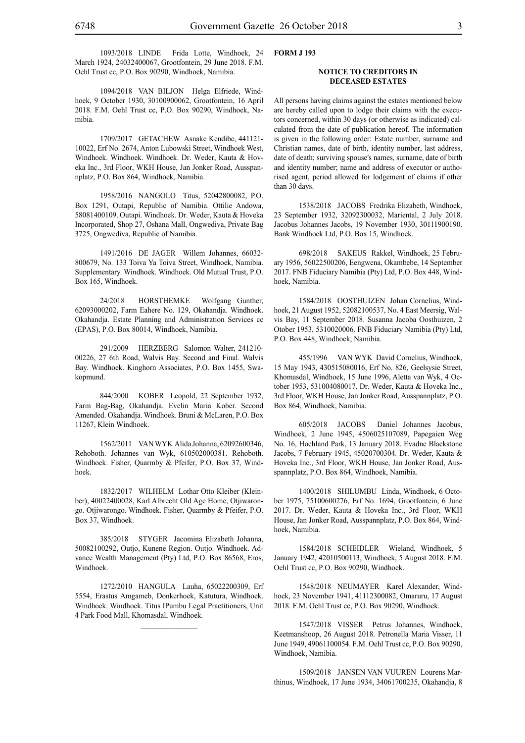1093/2018 LINDE Frida Lotte, Windhoek, 24 March 1924, 24032400067, Grootfontein, 29 June 2018. F.M. Oehl Trust cc, P.O. Box 90290, Windhoek, Namibia.

1094/2018 VAN BILJON Helga Elfriede, Windhoek, 9 October 1930, 30100900062, Grootfontein, 16 April 2018. F.M. Oehl Trust cc, P.O. Box 90290, Windhoek, Namibia.

1709/2017 GETACHEW Asnake Kendibe, 441121- 10022, Erf No. 2674, Anton Lubowski Street, Windhoek West, Windhoek. Windhoek. Windhoek. Dr. Weder, Kauta & Hoveka Inc., 3rd Floor, WKH House, Jan Jonker Road, Ausspannplatz, P.O. Box 864, Windhoek, Namibia.

1958/2016 NANGOLO Titus, 52042800082, P.O. Box 1291, Outapi, Republic of Namibia. Ottilie Andowa, 58081400109. Outapi. Windhoek. Dr. Weder, Kauta & Hoveka Incorporated, Shop 27, Oshana Mall, Ongwediva, Private Bag 3725, Ongwediva, Republic of Namibia.

1491/2016 DE JAGER Willem Johannes, 66032- 800679, No. 133 Toiva Ya Toiva Street, Windhoek, Namibia. Supplementary. Windhoek. Windhoek. Old Mutual Trust, P.O. Box 165, Windhoek.

24/2018 HORSTHEMKE Wolfgang Gunther, 62093000202, Farm Eahere No. 129, Okahandja. Windhoek. Okahandja. Estate Planning and Administration Services cc (EPAS), P.O. Box 80014, Windhoek, Namibia.

291/2009 herzberg Salomon Walter, 241210- 00226, 27 6th Road, Walvis Bay. Second and Final. Walvis Bay. Windhoek. Kinghorn Associates, P.O. Box 1455, Swakopmund.

844/2000 KOBER Leopold, 22 September 1932, Farm Bag-Bag, Okahandja. Evelin Maria Kober. Second Amended. Okahandja. Windhoek. Bruni & McLaren, P.O. Box 11267, Klein Windhoek.

1562/2011 VAN WYK Alida Johanna, 62092600346, Rehoboth. Johannes van Wyk, 610502000381. Rehoboth. Windhoek. Fisher, Quarmby & Pfeifer, P.O. Box 37, Windhoek.

1832/2017 WILHELM Lothar Otto Kleiber (Kleinber), 40022400028, Karl Albrecht Old Age Home, Otjiwarongo. Otjiwarongo. Windhoek. Fisher, Quarmby & Pfeifer, P.O. Box 37, Windhoek.

385/2018 STYGER Jacomina Elizabeth Johanna, 50082100292, Outjo, Kunene Region. Outjo. Windhoek. Advance Wealth Management (Pty) Ltd, P.O. Box 86568, Eros, Windhoek.

1272/2010 HANGULA Lauha, 65022200309, Erf 5554, Erastus Amgameb, Donkerhoek, Katutura, Windhoek. Windhoek. Windhoek. Titus IPumbu Legal Practitioners, Unit 4 Park Food Mall, Khomasdal, Windhoek.

 $\frac{1}{2}$ 

#### **FORM J 193**

#### **NOTICE TO CREDITORS IN DECEASED ESTATES**

All persons having claims against the estates mentioned below are hereby called upon to lodge their claims with the executors concerned, within 30 days (or otherwise as indicated) calculated from the date of publication hereof. The information is given in the following order: Estate number, surname and Christian names, date of birth, identity number, last address, date of death; surviving spouse's names, surname, date of birth and identity number; name and address of executor or authorised agent, period allowed for lodgement of claims if other than 30 days.

1538/2018 JACOBS Fredrika Elizabeth, Windhoek, 23 September 1932, 32092300032, Mariental, 2 July 2018. Jacobus Johannes Jacobs, 19 November 1930, 30111900190. Bank Windhoek Ltd, P.O. Box 15, Windhoek.

698/2018 SAKEUS Rakkel, Windhoek, 25 February 1956, 56022500206, Eengwena, Okambebe, 14 September 2017. FNB Fiduciary Namibia (Pty) Ltd, P.O. Box 448, Windhoek, Namibia.

1584/2018 OOSTHUIZEN Johan Cornelius, Windhoek, 21 August 1952, 52082100537, No. 4 East Meersig, Walvis Bay, 11 September 2018. Susanna Jacoba Oosthuizen, 2 Otober 1953, 5310020006. FNB Fiduciary Namibia (Pty) Ltd, P.O. Box 448, Windhoek, Namibia.

455/1996 VAN WYK David Cornelius, Windhoek, 15 May 1943, 430515080016, Erf No. 826, Geelsysie Street, Khomasdal, Windhoek, 15 June 1996, Aletta van Wyk, 4 October 1953, 531004080017. Dr. Weder, Kauta & Hoveka Inc., 3rd Floor, WKH House, Jan Jonker Road, Ausspannplatz, P.O. Box 864, Windhoek, Namibia.

605/2018 JACOBS Daniel Johannes Jacobus, Windhoek, 2 June 1945, 4506025107089, Papegaien Weg No. 16, Hochland Park, 13 January 2018. Evadne Blackstone Jacobs, 7 February 1945, 45020700304. Dr. Weder, Kauta & Hoveka Inc., 3rd Floor, WKH House, Jan Jonker Road, Ausspannplatz, P.O. Box 864, Windhoek, Namibia.

1400/2018 SHILUMBU Linda, Windhoek, 6 October 1975, 75100600276, Erf No. 1694, Grootfontein, 6 June 2017. Dr. Weder, Kauta & Hoveka Inc., 3rd Floor, WKH House, Jan Jonker Road, Ausspannplatz, P.O. Box 864, Windhoek, Namibia.

1584/2018 SCHEIDLER Wieland, Windhoek, 5 January 1942, 42010500113, Windhoek, 5 August 2018. F.M. Oehl Trust cc, P.O. Box 90290, Windhoek.

1548/2018 NEUMAYER Karel Alexander, Windhoek, 23 November 1941, 41112300082, Omaruru, 17 August 2018. F.M. Oehl Trust cc, P.O. Box 90290, Windhoek.

1547/2018 VISSER Petrus Johannes, Windhoek, Keetmanshoop, 26 August 2018. Petronella Maria Visser, 11 June 1949, 49061100054. F.M. Oehl Trust cc, P.O. Box 90290, Windhoek, Namibia.

1509/2018 JANSEN VAN VUUREN Lourens Marthinus, Windhoek, 17 June 1934, 34061700235, Okahandja, 8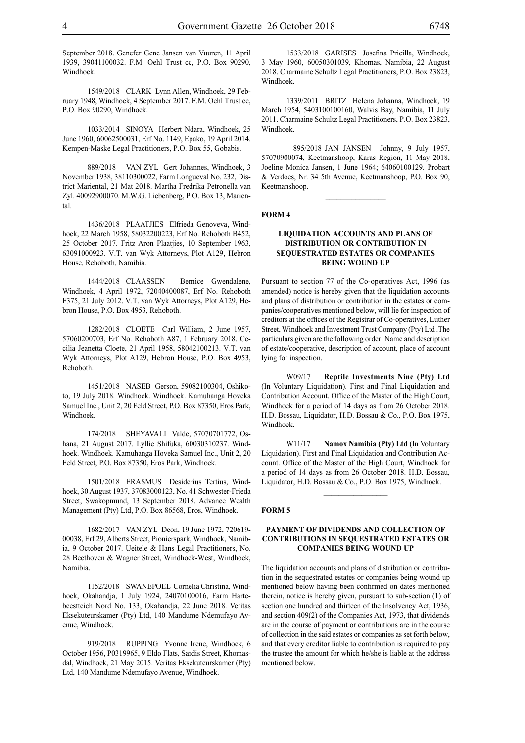September 2018. Genefer Gene Jansen van Vuuren, 11 April 1939, 39041100032. F.M. Oehl Trust cc, P.O. Box 90290, Windhoek.

1549/2018 CLARK Lynn Allen, Windhoek, 29 February 1948, Windhoek, 4 September 2017. F.M. Oehl Trust cc, P.O. Box 90290, Windhoek.

1033/2014 SINOYA Herbert Ndara, Windhoek, 25 June 1960, 60062500031, Erf No. 1149, Epako, 19 April 2014. Kempen-Maske Legal Practitioners, P.O. Box 55, Gobabis.

889/2018 VAN ZYL Gert Johannes, Windhoek, 3 November 1938, 38110300022, Farm Longueval No. 232, District Mariental, 21 Mat 2018. Martha Fredrika Petronella van Zyl. 40092900070. M.W.G. Liebenberg, P.O. Box 13, Mariental.

1436/2018 PLAATJIES Elfrieda Genoveva, Windhoek, 22 March 1958, 58032200223, Erf No. Rehoboth B452, 25 October 2017. Fritz Aron Plaatjies, 10 September 1963, 63091000923. V.T. van Wyk Attorneys, Plot A129, Hebron House, Rehoboth, Namibia.

1444/2018 CLAASSEN Bernice Gwendalene, Windhoek, 4 April 1972, 72040400087, Erf No. Rehoboth F375, 21 July 2012. V.T. van Wyk Attorneys, Plot A129, Hebron House, P.O. Box 4953, Rehoboth.

1282/2018 CLOETE Carl William, 2 June 1957, 57060200703, Erf No. Rehoboth A87, 1 February 2018. Cecilia Jeanetta Cloete, 21 April 1958, 58042100213. V.T. van Wyk Attorneys, Plot A129, Hebron House, P.O. Box 4953, Rehoboth.

1451/2018 NASEB Gerson, 59082100304, Oshikoto, 19 July 2018. Windhoek. Windhoek. Kamuhanga Hoveka Samuel Inc., Unit 2, 20 Feld Street, P.O. Box 87350, Eros Park, Windhoek.

174/2018 SHEYAVALI Valde, 57070701772, Oshana, 21 August 2017. Lyllie Shifuka, 60030310237. Windhoek. Windhoek. Kamuhanga Hoveka Samuel Inc., Unit 2, 20 Feld Street, P.O. Box 87350, Eros Park, Windhoek.

1501/2018 ERASMUS Desiderius Tertius, Windhoek, 30 August 1937, 37083000123, No. 41 Schwester-Frieda Street, Swakopmund, 13 September 2018. Advance Wealth Management (Pty) Ltd, P.O. Box 86568, Eros, Windhoek.

1682/2017 VAN ZYL Deon, 19 June 1972, 720619- 00038, Erf 29, Alberts Street, Pionierspark, Windhoek, Namibia, 9 October 2017. Ueitele & Hans Legal Practitioners, No. 28 Beethoven & Wagner Street, Windhoek-West, Windhoek, Namibia.

1152/2018 SWANEPOEL Cornelia Christina, Windhoek, Okahandja, 1 July 1924, 24070100016, Farm Hartebeestteich Nord No. 133, Okahandja, 22 June 2018. Veritas Eksekuteurskamer (Pty) Ltd, 140 Mandume Ndemufayo Avenue, Windhoek.

919/2018 RUPPING Yvonne Irene, Windhoek, 6 October 1956, P0319965, 9 Eldo Flats, Sardis Street, Khomasdal, Windhoek, 21 May 2015. Veritas Eksekuteurskamer (Pty) Ltd, 140 Mandume Ndemufayo Avenue, Windhoek.

1533/2018 GARISES Josefina Pricilla, Windhoek, 3 May 1960, 60050301039, Khomas, Namibia, 22 August 2018. Charmaine Schultz Legal Practitioners, P.O. Box 23823, Windhoek.

1339/2011 BRITZ Helena Johanna, Windhoek, 19 March 1954, 5403100100160, Walvis Bay, Namibia, 11 July 2011. Charmaine Schultz Legal Practitioners, P.O. Box 23823, Windhoek.

895/2018 JAN JANSEN Johnny, 9 July 1957, 57070900074, Keetmanshoop, Karas Region, 11 May 2018, Joeline Monica Jansen, 1 June 1964; 64060100129. Probart & Verdoes, Nr. 34 5th Avenue, Keetmanshoop, P.O. Box 90, Keetmanshoop.

 $\frac{1}{2}$ 

#### **FORM 4**

#### **LIQUIDATION ACCOUNTS AND PLANS OF DISTRIBUTION OR CONTRIBUTION IN SEQUESTRATED ESTATES OR COMPANIES BEING WOUND UP**

Pursuant to section 77 of the Co-operatives Act, 1996 (as amended) notice is hereby given that the liquidation accounts and plans of distribution or contribution in the estates or companies/cooperatives mentioned below, will lie for inspection of creditors at the offices of the Registrar of Co-operatives, Luther Street, Windhoek and Investment Trust Company (Pty) Ltd .The particulars given are the following order: Name and description of estate/cooperative, description of account, place of account lying for inspection.

W09/17 **Reptile Investments Nine (Pty) Ltd** (In Voluntary Liquidation). First and Final Liquidation and Contribution Account. Office of the Master of the High Court, Windhoek for a period of 14 days as from 26 October 2018. H.D. Bossau, Liquidator, H.D. Bossau & Co., P.O. Box 1975, Windhoek.

W11/17 **Namox Namibia (Pty) Ltd** (In Voluntary Liquidation). First and Final Liquidation and Contribution Account. Office of the Master of the High Court, Windhoek for a period of 14 days as from 26 October 2018. H.D. Bossau, Liquidator, H.D. Bossau & Co., P.O. Box 1975, Windhoek.

#### **FORM 5**

#### **PAYMENT OF DIVIDENDS AND COLLECTION OF CONTRIBUTIONS IN SEQUESTRATED ESTATES OR COMPANIES BEING WOUND UP**

The liquidation accounts and plans of distribution or contribution in the sequestrated estates or companies being wound up mentioned below having been confirmed on dates mentioned therein, notice is hereby given, pursuant to sub-section (1) of section one hundred and thirteen of the Insolvency Act, 1936, and section 409(2) of the Companies Act, 1973, that dividends are in the course of payment or contributions are in the course of collection in the said estates or companies as set forth below, and that every creditor liable to contribution is required to pay the trustee the amount for which he/she is liable at the address mentioned below.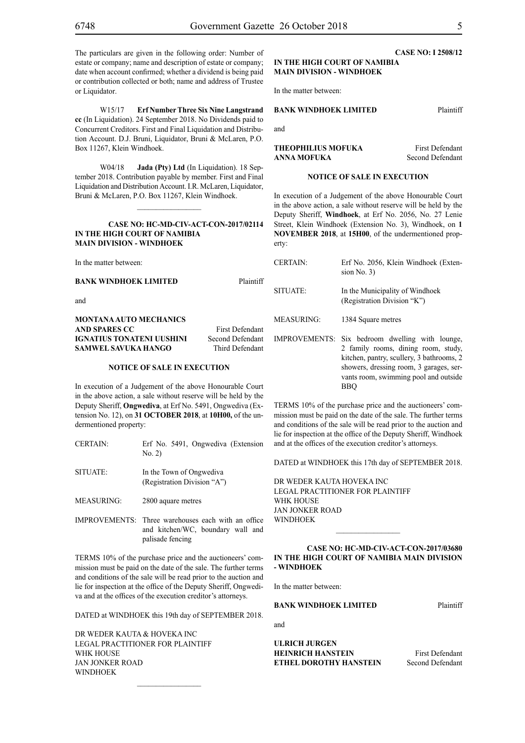W15/17 **Erf Number Three Six Nine Langstrand cc** (In Liquidation). 24 September 2018. No Dividends paid to Concurrent Creditors. First and Final Liquidation and Distribution Account. D.J. Bruni, Liquidator, Bruni & McLaren, P.O. Box 11267, Klein Windhoek.

W04/18 **Jada (Pty) Ltd** (In Liquidation). 18 September 2018. Contribution payable by member. First and Final Liquidation and Distribution Account. I.R. McLaren, Liquidator, Bruni & McLaren, P.O. Box 11267, Klein Windhoek.

#### **CASE NO: HC-MD-CIV-ACT-CON-2017/02114 IN THE HIGH COURT OF NAMIBIA MAIN DIVISION - WINDHOEK**

 $\frac{1}{2}$ 

In the matter between:

#### **BANK WINDHOEK LIMITED** Plaintiff

and

#### **MONTANA AUTO MECHANICS AND SPARES CC** First Defendant **IGNATIUS TONATENI UUSHINI** Second Defendant **SAMWEL SAVUKA HANGO** Third Defendant

#### **NOTICE OF SALE IN EXECUTION**

In execution of a Judgement of the above Honourable Court in the above action, a sale without reserve will be held by the Deputy Sheriff, **Ongwediva**, at Erf No. 5491, Ongwediva (Extension No. 12), on **31 OCTOBER 2018**, at **10H00,** of the undermentioned property:

- CERTAIN: Erf No. 5491, Ongwediva (Extension No. 2)
- SITUATE: In the Town of Ongwediva (Registration Division "A")

MEASURING: 2800 aquare metres

IMPROVEMENTS: Three warehouses each with an office and kitchen/Wc, boundary wall and palisade fencing

TERMS 10% of the purchase price and the auctioneers' commission must be paid on the date of the sale. The further terms and conditions of the sale will be read prior to the auction and lie for inspection at the office of the Deputy Sheriff, Ongwediva and at the offices of the execution creditor's attorneys.

DATED at WINDHOEK this 19th day of SEPTEMBER 2018.

DR WEDER KAUTA & HOVEKA INC Legal Practitioner for Plaintiff WHK HOUSE Jan Jonker Road **WINDHOFK** 

#### **CASE NO: I 2508/12 IN THE HIGH COURT OF NAMIBIA MAIN DIVISION - WINDHOEK**

In the matter between:

#### **BANK WINDHOEK LIMITED** Plaintiff

and

#### **THEOPHILIUS MOFUKA** First Defendant **ANNA MOFUKA** Second Defendant

#### **NOTICE OF SALE IN EXECUTION**

In execution of a Judgement of the above Honourable Court in the above action, a sale without reserve will be held by the Deputy Sheriff, **Windhoek**, at Erf No. 2056, No. 27 Lenie Street, Klein Windhoek (Extension No. 3), Windhoek, on **1 NOVEMBER 2018**, at **15H00**, of the undermentioned property:

| <b>CERTAIN:</b>      | Erf No. 2056, Klein Windhoek (Exten-<br>sion $No. 3)$                                                                                                                                                            |
|----------------------|------------------------------------------------------------------------------------------------------------------------------------------------------------------------------------------------------------------|
| SITUATE:             | In the Municipality of Windhoek<br>(Registration Division "K")                                                                                                                                                   |
| <b>MEASURING:</b>    | 1384 Square metres                                                                                                                                                                                               |
| <b>IMPROVEMENTS:</b> | Six bedroom dwelling with lounge,<br>2 family rooms, dining room, study,<br>kitchen, pantry, scullery, 3 bathrooms, 2<br>showers, dressing room, 3 garages, ser-<br>vants room, swimming pool and outside<br>BBO |

TERMS 10% of the purchase price and the auctioneers' commission must be paid on the date of the sale. The further terms and conditions of the sale will be read prior to the auction and lie for inspection at the office of the Deputy Sheriff, Windhoek and at the offices of the execution creditor's attorneys.

DATED at WINDHOEK this 17th day of SEPTEMBER 2018.

DR WEDER KAUTA HOVEKA INC Legal Practitioner for Plaintiff WHK HOUSE Jan Jonker Road WINDHOEK

#### **CASE NO: HC-MD-CIV-ACT-CON-2017/03680 IN THE HIGH COURT OF NAMIBIA MAIN DIVISION - WINDHOEK**

 $\frac{1}{2}$ 

In the matter between:

**BANK WINDHOEK LIMITED** Plaintiff

and

**ULRICH JURGEN HEINRICH HANSTEIN** First Defendant **ETHEL DOROTHY HANSTEIN** Second Defendant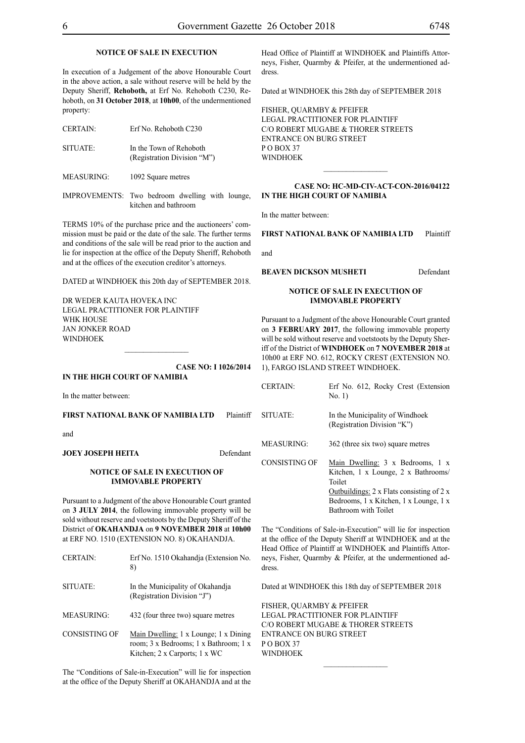#### **NOTICE OF SALE IN EXECUTION**

In execution of a Judgement of the above Honourable Court in the above action, a sale without reserve will be held by the Deputy Sheriff, **Rehoboth,** at Erf No. Rehoboth C230, Rehoboth, on **31 October 2018**, at **10h00**, of the undermentioned property:

| <b>CERTAIN:</b> | Erf No. Rehoboth C230                                  |
|-----------------|--------------------------------------------------------|
| SITUATE:        | In the Town of Rehoboth<br>(Registration Division "M") |

MEASURING: 1092 Square metres

IMPROVEMENTS: Two bedroom dwelling with lounge, kitchen and bathroom

TERMS 10% of the purchase price and the auctioneers' commission must be paid or the date of the sale. The further terms and conditions of the sale will be read prior to the auction and lie for inspection at the office of the Deputy Sheriff, Rehoboth and at the offices of the execution creditor's attorneys.

DATED at WINDHOEK this 20th day of SEPTEMBER 2018.

DR WEDER KAUTA HOVEKA INC Legal Practitioner for Plaintiff WHK HOUSE Jan Jonker Road **WINDHOEK**  $\frac{1}{2}$ 

**CASE NO: I 1026/2014**

#### **IN THE HIGH COURT OF NAMIBIA**

In the matter between:

**FIRST NATIONAL BANK OF NAMIBIA LTD** Plaintiff

and

**JOEY JOSEPH HEITA** Defendant

#### **NOTICE OF SALE IN EXECUTION OF IMMOVABLE PROPERTY**

Pursuant to a Judgment of the above Honourable Court granted on **3 JULY 2014**, the following immovable property will be sold without reserve and voetstoots by the Deputy Sheriff of the District of **OKAHANDJA** on **9 NOVEMBER 2018** at **10h00**  at ERF NO. 1510 (EXTENSION NO. 8) OKAHANDJA.

| <b>CERTAIN:</b>      | Erf No. 1510 Okahandja (Extension No.<br>8)                                                                     |
|----------------------|-----------------------------------------------------------------------------------------------------------------|
| SITUATE:             | In the Municipality of Okahandja<br>(Registration Division "J")                                                 |
| <b>MEASURING:</b>    | 432 (four three two) square metres                                                                              |
| <b>CONSISTING OF</b> | Main Dwelling: 1 x Lounge; 1 x Dining<br>room; 3 x Bedrooms; 1 x Bathroom; 1 x<br>Kitchen; 2 x Carports; 1 x WC |

The "Conditions of Sale-in-Execution" will lie for inspection at the office of the Deputy Sheriff at OKAHANDJA and at the Head Office of Plaintiff at WINDHOEK and Plaintiffs Attorneys, Fisher, Quarmby & Pfeifer, at the undermentioned address.

Dated at WINDHOEK this 28th day of SEPTEMBER 2018

FISHER, QUARMBY & PFEIFER LEGAL PRACTITIONER FOR Plaintiff c/o Robert Mugabe & Thorer Streets entrance on Burg Street PO BOX 37 WINDHOEK

#### **CASE NO: HC-MD-CIV-ACT-CON-2016/04122 IN THE HIGH COURT OF NAMIBIA**

 $\frac{1}{2}$ 

In the matter between:

**FIRST NATIONAL BANK OF NAMIBIA LTD** Plaintiff

and

**BEAVEN DICKSON MUSHETI** Defendant

#### **NOTICE OF SALE IN EXECUTION OF IMMOVABLE PROPERTY**

Pursuant to a Judgment of the above Honourable Court granted on **3 FEBRUARY 2017**, the following immovable property will be sold without reserve and voetstoots by the Deputy Sheriff of the District of **WINDHOEK** on **7 NOVEMBER 2018** at 10h00 at ERF NO. 612, ROCKY CREST (EXTENSION NO. 1), FARGO ISLAND STREET WINDHOEK.

| <b>CERTAIN:</b> | Erf No. 612, Rocky Crest (Extension<br>No. 1)                                                                                                                                                                  |
|-----------------|----------------------------------------------------------------------------------------------------------------------------------------------------------------------------------------------------------------|
| SITUATE:        | In the Municipality of Windhoek<br>(Registration Division "K")                                                                                                                                                 |
| MEASURING:      | 362 (three six two) square metres                                                                                                                                                                              |
| CONSISTING OF   | Main Dwelling: 3 x Bedrooms, 1 x<br>Kitchen, 1 x Lounge, 2 x Bathrooms/<br>Toilet<br>Outbuildings: $2 \times$ Flats consisting of $2 \times$<br>Bedrooms, 1 x Kitchen, 1 x Lounge, 1 x<br>Bathroom with Toilet |

The "Conditions of Sale-in-Execution" will lie for inspection at the office of the Deputy Sheriff at WINDHOEK and at the Head Office of Plaintiff at WINDHOEK and Plaintiffs Attorneys, Fisher, Quarmby & Pfeifer, at the undermentioned address.

Dated at WINDHOEK this 18th day of SEPTEMBER 2018

 $\frac{1}{2}$ 

FISHER, QUARMBY & PFEIFER LEGAL PRACTITIONER FOR PLAINTIFF c/o Robert Mugabe & Thorer Streets entrance on Burg Street PO BOX 37 WINDHOEK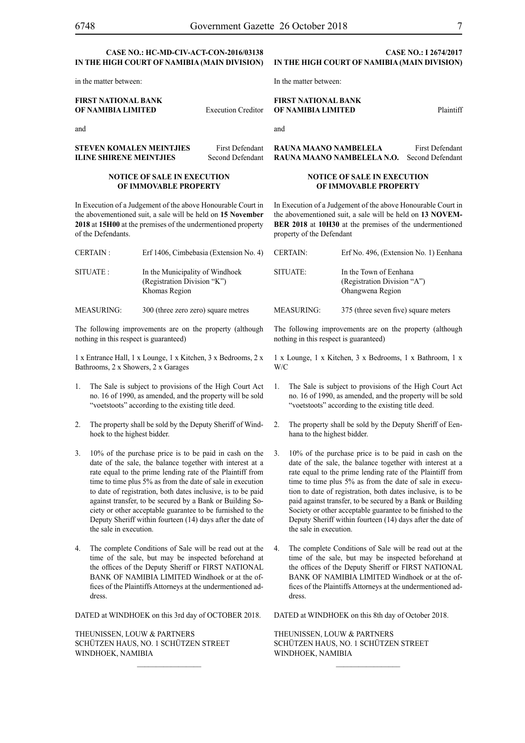#### **CASE NO.: HC-MD-CIV-ACT-CON-2016/03138 IN THE HIGH COURT OF NAMIBIA (Main Division)**

in the matter between:

**FIRST NATIONAL BANK OF NAMIBIA LIMITED** Execution Creditor

and

**STEVEN KOMALEN MEINTJIES** First Defendant **ILINE SHIRENE MEINTJIES** Second Defendant

#### **NOTICE OF SALE IN EXECUTION OF IMMOVABLE PROPERTY**

In Execution of a Judgement of the above Honourable Court in the abovementioned suit, a sale will be held on **15 November 2018** at **15H00** at the premises of the undermentioned property of the Defendants.

| CERTAIN:  | Erf 1406, Cimbebasia (Extension No. 4)                                          |
|-----------|---------------------------------------------------------------------------------|
| SITUATE : | In the Municipality of Windhoek<br>(Registration Division "K")<br>Khomas Region |

MEASURING: 300 (three zero zero) square metres

The following improvements are on the property (although nothing in this respect is guaranteed)

1 x Entrance Hall, 1 x Lounge, 1 x Kitchen, 3 x Bedrooms, 2 x Bathrooms, 2 x Showers, 2 x Garages

- 1. The Sale is subject to provisions of the High Court Act no. 16 of 1990, as amended, and the property will be sold "voetstoots" according to the existing title deed.
- 2. The property shall be sold by the Deputy Sheriff of Windhoek to the highest bidder.
- 3. 10% of the purchase price is to be paid in cash on the date of the sale, the balance together with interest at a rate equal to the prime lending rate of the Plaintiff from time to time plus 5% as from the date of sale in execution to date of registration, both dates inclusive, is to be paid against transfer, to be secured by a Bank or Building Society or other acceptable guarantee to be furnished to the Deputy Sheriff within fourteen (14) days after the date of the sale in execution.
- 4. The complete Conditions of Sale will be read out at the time of the sale, but may be inspected beforehand at the offices of the Deputy Sheriff or FIRST NATIONAL BANK OF NAMIBIA LIMITED Windhoek or at the offices of the Plaintiffs Attorneys at the undermentioned address.

DATED at WINDHOEK on this 3rd day of OCTOBER 2018.

THEUNISSEN, LOUW & PARTNERS Schützen Haus, No. 1 Schützen Street WINDHOEK, NAMIBIA

#### **CASE NO.: I 2674/2017 IN THE HIGH COURT OF NAMIBIA (Main Division)**

In the matter between:

#### **FIRST NATIONAL BANK OF NAMIBIA LIMITED** Plaintiff

and

**RAUNA MAANO NAMBELELA** First Defendant **RAUNA MAANO NAMBELELA N.O.** Second Defendant

#### **NOTICE OF SALE IN EXECUTION OF IMMOVABLE PROPERTY**

In Execution of a Judgement of the above Honourable Court in the abovementioned suit, a sale will be held on **13 NOVEM-BER 2018** at **10H30** at the premises of the undermentioned property of the Defendant

| <b>CERTAIN:</b> | Erf No. 496, (Extension No. 1) Eenhana                                    |
|-----------------|---------------------------------------------------------------------------|
| SITUATE:        | In the Town of Eenhana<br>(Registration Division "A")<br>Ohangwena Region |
| MEASURING:      | 375 (three seven five) square meters                                      |

The following improvements are on the property (although nothing in this respect is guaranteed)

1 x Lounge, 1 x Kitchen, 3 x Bedrooms, 1 x Bathroom, 1 x W/C

- 1. The Sale is subject to provisions of the High Court Act no. 16 of 1990, as amended, and the property will be sold "voetstoots" according to the existing title deed.
- 2. The property shall be sold by the Deputy Sheriff of Eenhana to the highest bidder.
- 3. 10% of the purchase price is to be paid in cash on the date of the sale, the balance together with interest at a rate equal to the prime lending rate of the Plaintiff from time to time plus 5% as from the date of sale in execution to date of registration, both dates inclusive, is to be paid against transfer, to be secured by a Bank or Building Society or other acceptable guarantee to be finished to the Deputy Sheriff within fourteen (14) days after the date of the sale in execution.
- 4. The complete Conditions of Sale will be read out at the time of the sale, but may be inspected beforehand at the offices of the Deputy Sheriff or FIRST NATIONAL BANK OF NAMIBIA LIMITED Windhoek or at the offices of the Plaintiffs Attorneys at the undermentioned address.

DATED at WINDHOEK on this 8th day of October 2018.

THEUNISSEN, LOUW & PARTNERS Schützen Haus, No. 1 Schützen Street WINDHOEK, NAMIBIA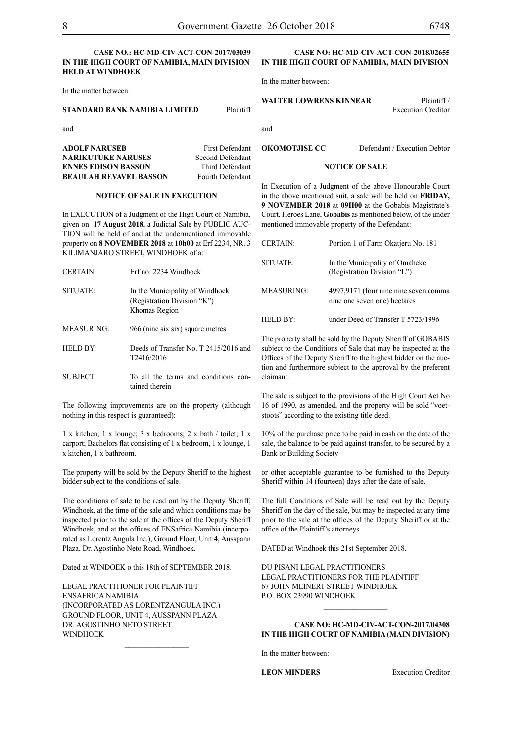#### **CASE NO.: HC-MD-CIV-ACT-CON-2017/03039 IN THE HIGH COURT OF NAMIBIA, MAIN DIVISION HELD AT WINDHOEK**

In the matter between:

#### **STANDARD BANK NAMIBIA LIMITED** Plaintiff

and

**ADOLF NARUSEB** First Defendant **NARIKUTUKE NARUSES** Second Defendant **ENNES EDISON BASSON** Third Defendant **BEAULAH REVAVEL BASSON** Fourth Defendant

#### **NOTICE OF SALE IN EXECUTION**

In EXECUTION of a Judgment of the High Court of Namibia, given on **17 August 2018**, a Judicial Sale by PUBLIC AUC-TION will be held of and at the undermentioned immovable property on **8 NOVEMBER 2018** at **10h00** at Erf 2234, NR. 3 KILIMANJARO STREET, WINDHOEK of a:

| <b>CERTAIN:</b> | Erf no: 2234 Windhoek                                                           |
|-----------------|---------------------------------------------------------------------------------|
| SITUATE:        | In the Municipality of Windhoek<br>(Registration Division "K")<br>Khomas Region |
| MEASURING:      | 966 (nine six six) square metres                                                |
| HELD BY:        | Deeds of Transfer No. T 2415/2016 and<br>T <sub>2416</sub> /2016                |
| SUBJECT:        | To all the terms and conditions con-<br>tained therein                          |

The following improvements are on the property (although nothing in this respect is guaranteed):

1 x kitchen; 1 x lounge; 3 x bedrooms; 2 x bath / toilet; 1 x carport; Bachelors flat consisting of 1 x bedroom, 1 x lounge, 1 x kitchen, 1 x bathroom.

The property will be sold by the Deputy Sheriff to the highest bidder subject to the conditions of sale.

The conditions of sale to be read out by the Deputy Sheriff, Windhoek, at the time of the sale and which conditions may be inspected prior to the sale at the offices of the Deputy Sheriff Windhoek, and at the offices of ENSafrica Namibia (incorporated as Lorentz Angula Inc.), Ground Floor, Unit 4, Ausspann Plaza, Dr. Agostinho Neto Road, Windhoek.

Dated at WINDOEK o this 18th of SEPTEMBER 2018.

Legal Practitioner for Plaintiff ENSafrica Namibia (incorporated as LorentzAngula Inc.) Ground Floor, Unit 4, Ausspann Plaza Dr. Agostinho Neto Street WINDHOEK

 $\frac{1}{2}$ 

#### **Case NO: HC-MD-CIV-ACT-CON-2018/02655 IN THE HIGH COURT OF NAMIBIA, MAIN DIVISION**

In the matter between:

**WALTER LOWRENS KINNEAR** Plaintiff /

Execution Creditor

**OKOMOTJISE CC** Defendant / Execution Debtor

#### **NOTICE OF SALE**

In Execution of a Judgment of the above Honourable Court in the above mentioned suit, a sale will be held on **FRIDAY, 9 NOVEMBER 2018** at **09H00** at the Gobabis Magistrate's Court, Heroes Lane, **Gobabis** as mentioned below, of the under mentioned immovable property of the Defendant:

| <b>CERTAIN:</b>   | Portion 1 of Farm Okatieru No. 181                                    |
|-------------------|-----------------------------------------------------------------------|
| SITUATE:          | In the Municipality of Omaheke<br>(Registration Division "L")         |
| <b>MEASURING:</b> | 4997,9171 (four nine nine seven comma<br>nine one seven one) hectares |
| HELD BY:          | under Deed of Transfer T 5723/1996                                    |

The property shall be sold by the Deputy Sheriff of GOBABIS subject to the Conditions of Sale that may be inspected at the Offices of the Deputy Sheriff to the highest bidder on the auction and furthermore subject to the approval by the preferent claimant.

The sale is subject to the provisions of the High Court Act No 16 of 1990, as amended, and the property will be sold "voetstoots" according to the existing title deed.

10% of the purchase price to be paid in cash on the date of the sale, the balance to be paid against transfer, to be secured by a Bank or Building Society

or other acceptable guarantee to be furnished to the Deputy Sheriff within 14 (fourteen) days after the date of sale.

The full Conditions of Sale will be read out by the Deputy Sheriff on the day of the sale, but may be inspected at any time prior to the sale at the offices of the Deputy Sheriff or at the office of the Plaintiff's attorneys.

DATED at Windhoek this 21st September 2018.

Du Pisani Legal Practitioners Legal Practitioners for the Plaintiff 67 John Meinert Street Windhoek P.O. Box 23990 Windhoek

#### **Case NO: HC-MD-CIV-ACT-CON-2017/04308 IN THE HIGH COURT OF NAMIBIA (Main Division)**

 $\frac{1}{2}$ 

In the matter between:

**LEON MINDERS** Execution Creditor

and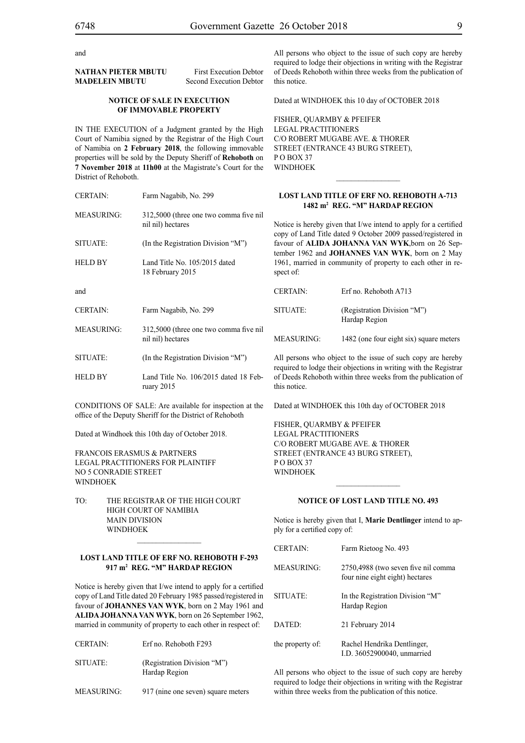and

#### **NATHAN PIETER MBUTU** First Execution Debtor **MADELEIN MBUTU** Second Execution Debtor

#### **NOTICE OF SALE IN EXECUTION OF IMMOVABLE PROPERTY**

IN THE EXECUTION of a Judgment granted by the High Court of Namibia signed by the Registrar of the High Court of Namibia on **2 February 2018**, the following immovable properties will be sold by the Deputy Sheriff of **Rehoboth** on **7 November 2018** at **11h00** at the Magistrate's Court for the District of Rehoboth.

| <b>CERTAIN:</b>   | Farm Nagabib, No. 299                                       |
|-------------------|-------------------------------------------------------------|
| <b>MEASURING:</b> | 312,5000 (three one two comma five nil<br>nil nil) hectares |
| SITUATE:          | (In the Registration Division "M")                          |
| <b>HELD BY</b>    | Land Title No. 105/2015 dated<br>18 February 2015           |
| and               |                                                             |
| <b>CERTAIN:</b>   | Farm Nagabib, No. 299                                       |
| <b>MEASURING:</b> | 312,5000 (three one two comma five nil<br>nil nil) hectares |
| SITUATE:          | (In the Registration Division "M")                          |
| <b>HELD BY</b>    | Land Title No. 106/2015 dated 18 Feb-<br>ruary $2015$       |

CONDITIONS OF SALE: Are available for inspection at the office of the Deputy Sheriff for the District of Rehoboth

Dated at Windhoek this 10th day of October 2018.

FRANCOIS ERASMUS & PARTNERS Legal Practitioners for Plaintiff No 5 Conradie Street **WINDHOEK** 

TO: THE REGISTRAR OF THE HIGH COURT High Court of Namibia **MAIN DIVISION WINDHOEK** 

#### **LOST LAND TITLE OF ERF NO. REHOBOTH F-293 917 m2 REG. "M" HARDAP REGION**

Notice is hereby given that I/we intend to apply for a certified copy of Land Title dated 20 February 1985 passed/registered in favour of **JOHANNES VAN WYK**, born on 2 May 1961 and **ALIDA JOHANNA VAN WYK**, born on 26 September 1962, married in community of property to each other in respect of:

| <b>CERTAIN:</b> | Erf no. Rehoboth F293                        |
|-----------------|----------------------------------------------|
| SITUATE:        | (Registration Division "M")<br>Hardap Region |

MEASURING: 917 (nine one seven) square meters

All persons who object to the issue of such copy are hereby required to lodge their objections in writing with the Registrar of Deeds Rehoboth within three weeks from the publication of this notice.

Dated at WINDHOEK this 10 day of OCTOBER 2018

FISHER, QUARMBY & PFEIFER Legal Practitioners C/O Robert Mugabe Ave. & Thorer Street (Entrance 43 Burg Street), P O BOX 37 **WINDHOEK** 

#### **LOST LAND TITLE OF ERF NO. REHOBOTH A-713 1482 m2 REG. "M" HARDAP REGION**

 $\overline{\phantom{a}}$  ,  $\overline{\phantom{a}}$  ,  $\overline{\phantom{a}}$  ,  $\overline{\phantom{a}}$  ,  $\overline{\phantom{a}}$  ,  $\overline{\phantom{a}}$  ,  $\overline{\phantom{a}}$  ,  $\overline{\phantom{a}}$  ,  $\overline{\phantom{a}}$  ,  $\overline{\phantom{a}}$  ,  $\overline{\phantom{a}}$  ,  $\overline{\phantom{a}}$  ,  $\overline{\phantom{a}}$  ,  $\overline{\phantom{a}}$  ,  $\overline{\phantom{a}}$  ,  $\overline{\phantom{a}}$ 

Notice is hereby given that I/we intend to apply for a certified copy of Land Title dated 9 October 2009 passed/registered in favour of **ALIDA JOHANNA VAN WYK**,born on 26 September 1962 and **JOHANNES VAN WYK**, born on 2 May 1961, married in community of property to each other in respect of:

| <b>CERTAIN:</b> | Erf no. Rehoboth A713                        |
|-----------------|----------------------------------------------|
| SITUATE:        | (Registration Division "M")<br>Hardap Region |
| MEASURING:      | 1482 (one four eight six) square meters      |

All persons who object to the issue of such copy are hereby required to lodge their objections in writing with the Registrar of Deeds Rehoboth within three weeks from the publication of this notice.

Dated at WINDHOEK this 10th day of OCTOBER 2018

FISHER, QUARMBY & PFEIFER Legal Practitioners C/O Robert Mugabe Ave. & Thorer Street (Entrance 43 Burg Street), PO BOX 37 WINDHOEK

#### **NOTICE OF LOST LAND TITLE NO. 493**

 $\frac{1}{2}$ 

Notice is hereby given that I, **Marie Dentlinger** intend to apply for a certified copy of:

| <b>CERTAIN:</b>  | Farm Rietoog No. 493                                                   |
|------------------|------------------------------------------------------------------------|
| MEASURING:       | 2750,4988 (two seven five nil comma<br>four nine eight eight) hectares |
| SITUATE:         | In the Registration Division "M"<br>Hardap Region                      |
| DATED:           | 21 February 2014                                                       |
| the property of: | Rachel Hendrika Dentlinger,<br>I.D. 36052900040, unmarried             |

All persons who object to the issue of such copy are hereby required to lodge their objections in writing with the Registrar within three weeks from the publication of this notice.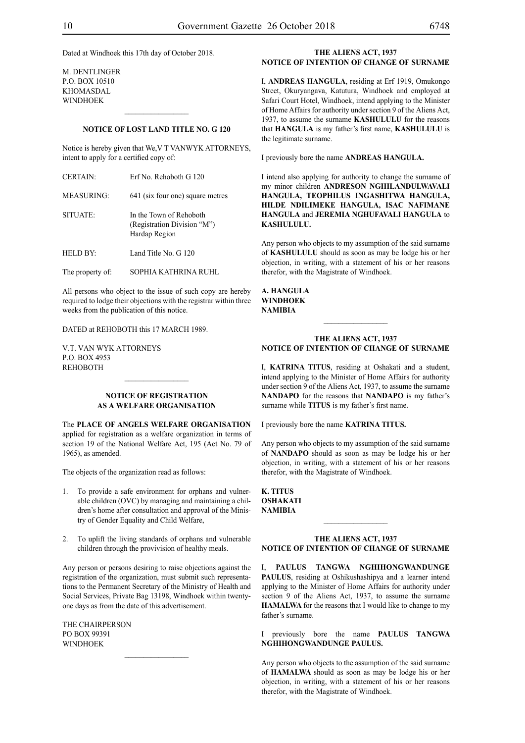Dated at Windhoek this 17th day of October 2018.

m. dentlinger p.o. box 10510 khomasdal **WINDHOEK** 

#### **NOTICE OF LOST LAND TITLE NO. G 120**

 $\frac{1}{2}$ 

Notice is hereby given that We,V T VANWYK ATTORNEYS, intent to apply for a certified copy of:

| <b>CERTAIN:</b>   | Erf No. Rehoboth G 120                                                  |
|-------------------|-------------------------------------------------------------------------|
| <b>MEASURING:</b> | 641 (six four one) square metres                                        |
| SITUATE:          | In the Town of Rehoboth<br>(Registration Division "M")<br>Hardap Region |
| HELD BY:          | Land Title No. G 120                                                    |
| The property of:  | SOPHIA KATHRINA RUHL                                                    |

All persons who object to the issue of such copy are hereby required to lodge their objections with the registrar within three weeks from the publication of this notice.

DATED at REHOBOTH this 17 MARCH 1989.

V.T. van Wyk Attorneys P.O. Box 4953 **REHOBOTH** 

#### **NOTICE OF REGISTRATION AS A WELFARE ORGANISATION**

The **PLACE OF ANGELS WELFARE OrganiSation** applied for registration as a welfare organization in terms of section 19 of the National Welfare Act, 195 (Act No. 79 of 1965), as amended.

The objects of the organization read as follows:

- 1. To provide a safe environment for orphans and vulnerable children (OVC) by managing and maintaining a children's home after consultation and approval of the Ministry of Gender Equality and Child Welfare,
- 2. To uplift the living standards of orphans and vulnerable children through the provivision of healthy meals.

Any person or persons desiring to raise objections against the registration of the organization, must submit such representations to the Permanent Secretary of the Ministry of Health and Social Services, Private Bag 13198, Windhoek within twentyone days as from the date of this advertisement.

The Chairperson PO Box 99391 **WINDHOEK** 

#### **THE ALIENS ACT, 1937 NOTICE OF INTENTION OF CHANGE OF SURNAME**

I, **andreas hangula**, residing at Erf 1919, Omukongo Street, Okuryangava, Katutura, Windhoek and employed at Safari Court Hotel, Windhoek, intend applying to the Minister of Home Affairs for authority under section 9 of the Aliens Act, 1937, to assume the surname **KASHULULU** for the reasons that **hangula** is my father's first name, **KASHULULU** is the legitimate surname.

I previously bore the name **ANDREAS HANGULA.** 

I intend also applying for authority to change the surname of my minor children **ANDRESON NGHILANDULWAVALI HANGULA, TEOPHILUS INGASHITWA HANGULA, HILDE NDILIMEKE HANGULA, ISAC NAFIMANE HANGULA** and **JEREMIA NGHUFAVALI HANGULA** to **KASHULULU.**

Any person who objects to my assumption of the said surname of **KASHULULU** should as soon as may be lodge his or her objection, in writing, with a statement of his or her reasons therefor, with the Magistrate of Windhoek.

**a. hangula windhoek NAMIBIA**

#### **THE ALIENS ACT, 1937 NOTICE OF INTENTION OF CHANGE OF SURNAME**

 $\frac{1}{2}$ 

I, KATRINA TITUS, residing at Oshakati and a student, intend applying to the Minister of Home Affairs for authority under section 9 of the Aliens Act, 1937, to assume the surname **NANDAPO** for the reasons that **NANDAPO** is my father's surname while **TITUS** is my father's first name.

I previously bore the name **KATRINA TITUS.** 

Any person who objects to my assumption of the said surname of **nandapo** should as soon as may be lodge his or her objection, in writing, with a statement of his or her reasons therefor, with the Magistrate of Windhoek.

**k. titus oshakati NAMIBIA**

#### **THE ALIENS ACT, 1937 NOTICE OF INTENTION OF CHANGE OF SURNAME**

I, **paulus tangwa nghihongwandunge PAULUS**, residing at Oshikushashipya and a learner intend applying to the Minister of Home Affairs for authority under section 9 of the Aliens Act, 1937, to assume the surname **HAMALWA** for the reasons that I would like to change to my father's surname.

I previously bore the name **paulus tangwa nghihongwandunge paulus.**

Any person who objects to the assumption of the said surname of **hamalwa** should as soon as may be lodge his or her objection, in writing, with a statement of his or her reasons therefor, with the Magistrate of Windhoek.